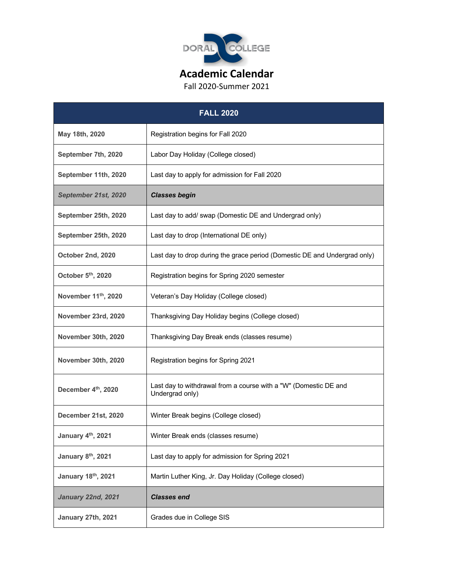

Fall 2020-Summer 2021

| <b>FALL 2020</b>     |                                                                                     |  |
|----------------------|-------------------------------------------------------------------------------------|--|
| May 18th, 2020       | Registration begins for Fall 2020                                                   |  |
| September 7th, 2020  | Labor Day Holiday (College closed)                                                  |  |
| September 11th, 2020 | Last day to apply for admission for Fall 2020                                       |  |
| September 21st, 2020 | <b>Classes begin</b>                                                                |  |
| September 25th, 2020 | Last day to add/ swap (Domestic DE and Undergrad only)                              |  |
| September 25th, 2020 | Last day to drop (International DE only)                                            |  |
| October 2nd, 2020    | Last day to drop during the grace period (Domestic DE and Undergrad only)           |  |
| October 5th, 2020    | Registration begins for Spring 2020 semester                                        |  |
| November 11th, 2020  | Veteran's Day Holiday (College closed)                                              |  |
| November 23rd, 2020  | Thanksgiving Day Holiday begins (College closed)                                    |  |
| November 30th, 2020  | Thanksgiving Day Break ends (classes resume)                                        |  |
| November 30th, 2020  | Registration begins for Spring 2021                                                 |  |
| December 4th, 2020   | Last day to withdrawal from a course with a "W" (Domestic DE and<br>Undergrad only) |  |
| December 21st, 2020  | Winter Break begins (College closed)                                                |  |
| January 4th, 2021    | Winter Break ends (classes resume)                                                  |  |
| January 8th, 2021    | Last day to apply for admission for Spring 2021                                     |  |
| January 18th, 2021   | Martin Luther King, Jr. Day Holiday (College closed)                                |  |
| January 22nd, 2021   | <b>Classes end</b>                                                                  |  |
| January 27th, 2021   | Grades due in College SIS                                                           |  |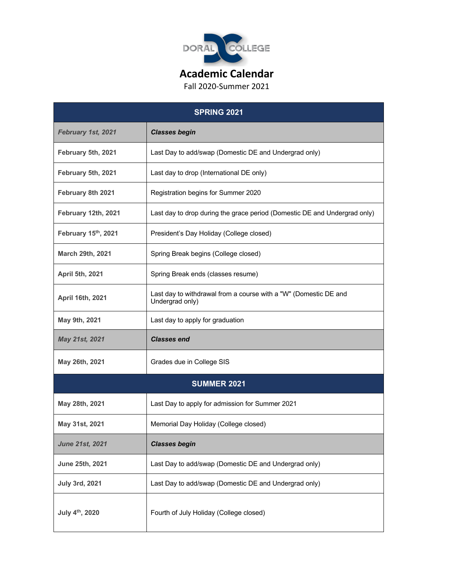

Fall 2020-Summer 2021

| <b>SPRING 2021</b>          |                                                                                     |  |
|-----------------------------|-------------------------------------------------------------------------------------|--|
| February 1st, 2021          | <b>Classes begin</b>                                                                |  |
| February 5th, 2021          | Last Day to add/swap (Domestic DE and Undergrad only)                               |  |
| February 5th, 2021          | Last day to drop (International DE only)                                            |  |
| February 8th 2021           | Registration begins for Summer 2020                                                 |  |
| February 12th, 2021         | Last day to drop during the grace period (Domestic DE and Undergrad only)           |  |
| February 15th, 2021         | President's Day Holiday (College closed)                                            |  |
| <b>March 29th, 2021</b>     | Spring Break begins (College closed)                                                |  |
| April 5th, 2021             | Spring Break ends (classes resume)                                                  |  |
| April 16th, 2021            | Last day to withdrawal from a course with a "W" (Domestic DE and<br>Undergrad only) |  |
| May 9th, 2021               | Last day to apply for graduation                                                    |  |
| May 21st, 2021              | <b>Classes end</b>                                                                  |  |
| May 26th, 2021              | Grades due in College SIS                                                           |  |
| <b>SUMMER 2021</b>          |                                                                                     |  |
| May 28th, 2021              | Last Day to apply for admission for Summer 2021                                     |  |
| May 31st, 2021              | Memorial Day Holiday (College closed)                                               |  |
| <b>June 21st, 2021</b>      | <b>Classes begin</b>                                                                |  |
| June 25th, 2021             | Last Day to add/swap (Domestic DE and Undergrad only)                               |  |
| <b>July 3rd, 2021</b>       | Last Day to add/swap (Domestic DE and Undergrad only)                               |  |
| July 4 <sup>th</sup> , 2020 | Fourth of July Holiday (College closed)                                             |  |